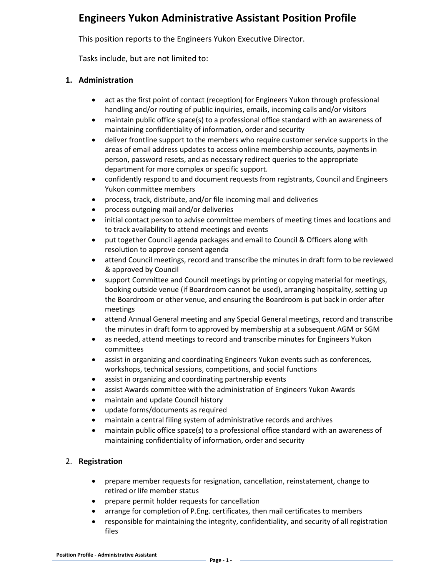# **Engineers Yukon Administrative Assistant Position Profile**

This position reports to the Engineers Yukon Executive Director.

Tasks include, but are not limited to:

### **1. Administration**

- act as the first point of contact (reception) for Engineers Yukon through professional handling and/or routing of public inquiries, emails, incoming calls and/or visitors
- maintain public office space(s) to a professional office standard with an awareness of maintaining confidentiality of information, order and security
- deliver frontline support to the members who require customer service supports in the areas of email address updates to access online membership accounts, payments in person, password resets, and as necessary redirect queries to the appropriate department for more complex or specific support.
- confidently respond to and document requests from registrants, Council and Engineers Yukon committee members
- process, track, distribute, and/or file incoming mail and deliveries
- process outgoing mail and/or deliveries
- initial contact person to advise committee members of meeting times and locations and to track availability to attend meetings and events
- put together Council agenda packages and email to Council & Officers along with resolution to approve consent agenda
- attend Council meetings, record and transcribe the minutes in draft form to be reviewed & approved by Council
- support Committee and Council meetings by printing or copying material for meetings, booking outside venue (if Boardroom cannot be used), arranging hospitality, setting up the Boardroom or other venue, and ensuring the Boardroom is put back in order after meetings
- attend Annual General meeting and any Special General meetings, record and transcribe the minutes in draft form to approved by membership at a subsequent AGM or SGM
- as needed, attend meetings to record and transcribe minutes for Engineers Yukon committees
- assist in organizing and coordinating Engineers Yukon events such as conferences, workshops, technical sessions, competitions, and social functions
- assist in organizing and coordinating partnership events
- assist Awards committee with the administration of Engineers Yukon Awards
- maintain and update Council history
- update forms/documents as required
- maintain a central filing system of administrative records and archives
- maintain public office space(s) to a professional office standard with an awareness of maintaining confidentiality of information, order and security

## 2. **Registration**

- prepare member requests for resignation, cancellation, reinstatement, change to retired or life member status
- prepare permit holder requests for cancellation
- arrange for completion of P.Eng. certificates, then mail certificates to members
- responsible for maintaining the integrity, confidentiality, and security of all registration files